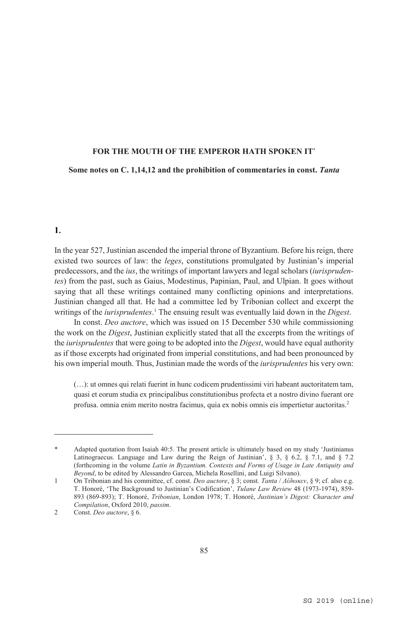#### **Some notes on C. 1,14,12 and the prohibition of commentaries in const.** *Tanta*

#### 1.

 $\overline{a}$ 

In the year 527, Justinian ascended the imperial throne of Byzantium. Before his reign, there existed two sources of law: the *leges*, constitutions promulgated by Justinian's imperial predecessors, and the *ius*, the writings of important lawyers and legal scholars (*iurisprudentes*) from the past, such as Gaius, Modestinus, Papinian, Paul, and Ulpian. It goes without saying that all these writings contained many conflicting opinions and interpretations. Justinian changed all that. He had a committee led by Tribonian collect and excerpt the writings of the *iurisprudentes*. 1 The ensuing result was eventually laid down in the *Digest*.

In const. *Deo auctore*, which was issued on 15 December 530 while commissioning the work on the *Digest*, Justinian explicitly stated that all the excerpts from the writings of the *iurisprudentes* that were going to be adopted into the *Digest*, would have equal authority as if those excerpts had originated from imperial constitutions, and had been pronounced by his own imperial mouth. Thus, Justinian made the words of the *iurisprudentes* his very own:

(…): ut omnes qui relati fuerint in hunc codicem prudentissimi viri habeant auctoritatem tam, quasi et eorum studia ex principalibus constitutionibus profecta et a nostro divino fuerant ore profusa. omnia enim merito nostra facimus, quia ex nobis omnis eis impertietur auctoritas.2

Adapted quotation from Isaiah 40:5. The present article is ultimately based on my study 'Justinianus Latinograecus. Language and Law during the Reign of Justinian', § 3, § 6.2, § 7.1, and § 7.2 (forthcoming in the volume *Latin in Byzantium. Contexts and Forms of Usage in Late Antiquity and Beyond*, to be edited by Alessandro Garcea, Michela Rosellini, and Luigi Silvano).

<sup>1</sup> On Tribonian and his committee, cf. const. *Deo auctore*, § 3; const. *Tanta* / *Δέδωκεν*, § 9; cf. also e.g. T. Honoré, 'The Background to Justinian's Codification', *Tulane Law Review* 48 (1973-1974), 859- 893 (869-893); T. Honoré, *Tribonian*, London 1978; T. Honoré, *Justinian's Digest: Character and Compilation*, Oxford 2010, *passim*.

<sup>2</sup> Const. *Deo auctore*, § 6.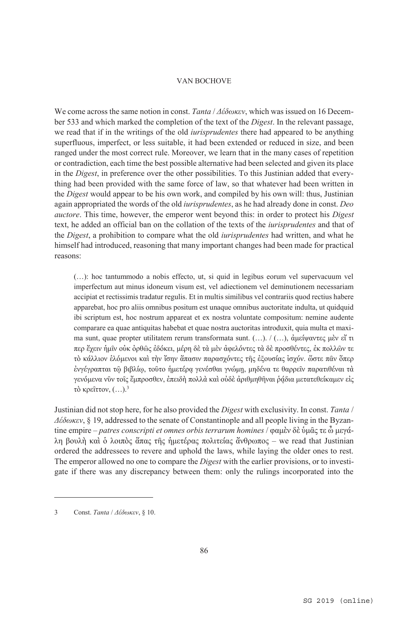We come across the same notion in const. *Tanta* / *Δέδωκεν*, which was issued on 16 December 533 and which marked the completion of the text of the *Digest*. In the relevant passage, we read that if in the writings of the old *iurisprudentes* there had appeared to be anything superfluous, imperfect, or less suitable, it had been extended or reduced in size, and been ranged under the most correct rule. Moreover, we learn that in the many cases of repetition or contradiction, each time the best possible alternative had been selected and given its place in the *Digest*, in preference over the other possibilities. To this Justinian added that everything had been provided with the same force of law, so that whatever had been written in the *Digest* would appear to be his own work, and compiled by his own will: thus, Justinian again appropriated the words of the old *iurisprudentes*, as he had already done in const. *Deo auctore*. This time, however, the emperor went beyond this: in order to protect his *Digest* text, he added an official ban on the collation of the texts of the *iurisprudentes* and that of the *Digest*, a prohibition to compare what the old *iurisprudentes* had written, and what he himself had introduced, reasoning that many important changes had been made for practical reasons:

(…): hoc tantummodo a nobis effecto, ut, si quid in legibus eorum vel supervacuum vel imperfectum aut minus idoneum visum est, vel adiectionem vel deminutionem necessariam accipiat et rectissimis tradatur regulis. Et in multis similibus vel contrariis quod rectius habere apparebat, hoc pro aliis omnibus positum est unaque omnibus auctoritate indulta, ut quidquid ibi scriptum est, hoc nostrum appareat et ex nostra voluntate compositum: nemine audente comparare ea quae antiquitas habebat et quae nostra auctoritas introduxit, quia multa et maxima sunt, quae propter utilitatem rerum transformata sunt. (…). / (…), ἀμείψαντες μὲν εἴ τι περ ἔχειν ἡμῖν οὐκ ὀρθῶς ἐδόκει, μέρη δὲ τὰ μὲν ἀφελόντες τὰ δὲ προσθέντες, ἐκ πολλῶν τε τὸ κάλλιον ἑλόμενοι καὶ τὴν ἴσην ἅπασιν παρασχόντες τῆς ἐξουσίας ἰσχύν. ὥστε πᾶν ὅπερ ἐνγέγραπται τῷ βιβλίῳ, τοῦτο ἡμετέρᾳ γενέσθαι γνώμῃ, μηδένα τε θαρρεῖν παρατιθέναι τὰ γενόμενα νῦν τοῖς ἔμπροσθεν, ἐπειδὴ πολλὰ καὶ οὐδὲ ἀριθμηθῆναι ῥάδια μετατεθείκαμεν εἰς τὸ κρεῖττον, (…).3

Justinian did not stop here, for he also provided the *Digest* with exclusivity. In const. *Tanta* / *Δέδωκεν*, § 19, addressed to the senate of Constantinople and all people living in the Byzantine empire – *patres conscripti et omnes orbis terrarum homines* / φαμὲν δὲ ὑμᾶς τε ὦ μεγάλη βουλὴ καὶ ὁ λοιπὸς ἅπας τῆς ἡμετέρας πολιτείας ἄνθρωπος – we read that Justinian ordered the addressees to revere and uphold the laws, while laying the older ones to rest. The emperor allowed no one to compare the *Digest* with the earlier provisions, or to investigate if there was any discrepancy between them: only the rulings incorporated into the

<sup>3</sup> Const. *Tanta* / *Δέδωκεν*, § 10.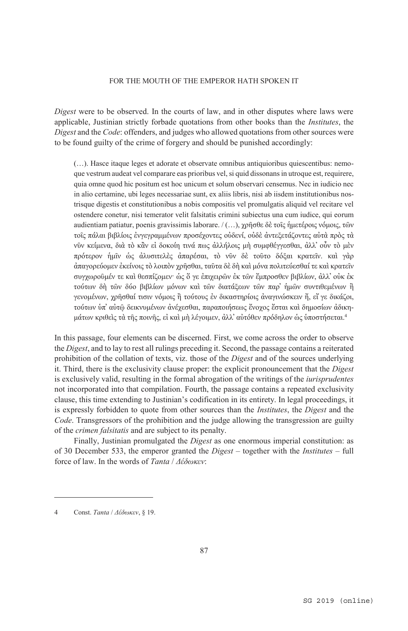*Digest* were to be observed. In the courts of law, and in other disputes where laws were applicable, Justinian strictly forbade quotations from other books than the *Institutes*, the *Digest* and the *Code*: offenders, and judges who allowed quotations from other sources were to be found guilty of the crime of forgery and should be punished accordingly:

(…). Hasce itaque leges et adorate et observate omnibus antiquioribus quiescentibus: nemoque vestrum audeat vel comparare eas prioribus vel, si quid dissonans in utroque est, requirere, quia omne quod hic positum est hoc unicum et solum observari censemus. Nec in iudicio nec in alio certamine, ubi leges necessariae sunt, ex aliis libris, nisi ab iisdem institutionibus nostrisque digestis et constitutionibus a nobis compositis vel promulgatis aliquid vel recitare vel ostendere conetur, nisi temerator velit falsitatis crimini subiectus una cum iudice, qui eorum audientiam patiatur, poenis gravissimis laborare. / (…), χρῆσθε δὲ τοῖς ἡμετέροις νόμοις, τῶν τοῖς πάλαι βιβλίοις ἐνγεγραμμένων προσέχοντες οὐδενί, οὐδὲ ἀντεξετάζοντες αὐτὰ πρὸς τὰ νῦν κείμενα, διὰ τὸ κἂν εἰ δοκοίη τινά πως ἀλλήλοις μὴ συμφθέγγεσθαι, ἀλλ᾿ οὖν τὸ μὲν πρότερον ἡμῖν ὡς ἀλυσιτελὲς ἀπαρέσαι, τὸ νῦν δὲ τοῦτο δόξαι κρατεῖν. καὶ γὰρ ἀπαγορεύομεν ἐκείνοις τὸ λοιπὸν χρῆσθαι, ταῦτα δὲ δὴ καὶ μόνα πολιτεύεσθαί τε καὶ κρατεῖν συγχωροῦμέν τε καὶ θεσπίζομεν· ὡς ὅ γε ἐπιχειρῶν ἐκ τῶν ἔμπροσθεν βιβλίων, ἀλλ᾿ οὐκ ἐκ τούτων δὴ τῶν δύο βιβλίων μόνων καὶ τῶν διατάξεων τῶν παρ᾿ ἡμῶν συντιθεμένων ἢ γενομένων, χρῆσθαί τισιν νόμοις ἢ τούτους ἐν δικαστηρίοις ἀναγινώσκειν ἤ, εἴ γε δικάζοι, τούτων ὑπ᾿ αὐτῷ δεικνυμένων ἀνέχεσθαι, παραποιήσεως ἔνοχος ἔσται καὶ δημοσίων ἀδικημάτων κριθεὶς τὰ τῆς ποινῆς, εἰ καὶ μὴ λέγοιμεν, ἀλλ᾿ αὐτόθεν πρόδηλον ὡς ὑποστήσεται. 4

In this passage, four elements can be discerned. First, we come across the order to observe the *Digest*, and to lay to rest all rulings preceding it. Second, the passage contains a reiterated prohibition of the collation of texts, viz. those of the *Digest* and of the sources underlying it. Third, there is the exclusivity clause proper: the explicit pronouncement that the *Digest* is exclusively valid, resulting in the formal abrogation of the writings of the *iurisprudentes* not incorporated into that compilation. Fourth, the passage contains a repeated exclusivity clause, this time extending to Justinian's codification in its entirety. In legal proceedings, it is expressly forbidden to quote from other sources than the *Institutes*, the *Digest* and the *Code*. Transgressors of the prohibition and the judge allowing the transgression are guilty of the *crimen falsitatis* and are subject to its penalty.

Finally, Justinian promulgated the *Digest* as one enormous imperial constitution: as of 30 December 533, the emperor granted the *Digest* – together with the *Institutes* – full force of law. In the words of *Tanta* / *Δέδωκεν*:

<sup>4</sup> Const. *Tanta* / *Δέδωκεν*, § 19.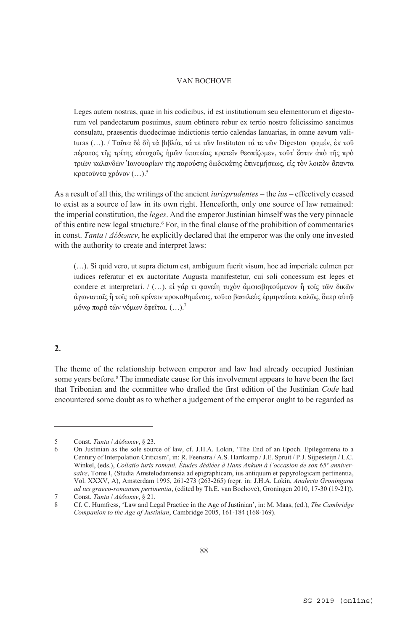Leges autem nostras, quae in his codicibus, id est institutionum seu elementorum et digestorum vel pandectarum posuimus, suum obtinere robur ex tertio nostro felicissimo sancimus consulatu, praesentis duodecimae indictionis tertio calendas Ianuarias, in omne aevum valituras (…). / Ταῦτα δὲ δὴ τὰ βιβλία, τά τε τῶν Instituton τά τε τῶν Digeston φαμέν, ἐκ τοῦ πέρατος τῆς τρίτης εὐτυχοῦς ἡμῶν ὑπατείας κρατεῖν θεσπίζομεν, τοῦτ᾿ ἔστιν ἀπὸ τῆς πρὸ τριῶν καλανδῶν Ἰανουαρίων τῆς παρούσης δωδεκάτης ἐπινεμήσεως, εἰς τὸν λοιπὸν ἅπαντα κρατοῦντα χρόνον (…).5

As a result of all this, the writings of the ancient *iurisprudentes* – the *ius* – effectively ceased to exist as a source of law in its own right. Henceforth, only one source of law remained: the imperial constitution, the *leges*. And the emperor Justinian himself was the very pinnacle of this entire new legal structure.<sup>6</sup> For, in the final clause of the prohibition of commentaries in const. *Tanta* / *Δέδωκεν*, he explicitly declared that the emperor was the only one invested with the authority to create and interpret laws:

(…). Si quid vero, ut supra dictum est, ambiguum fuerit visum, hoc ad imperiale culmen per iudices referatur et ex auctoritate Augusta manifestetur, cui soli concessum est leges et condere et interpretari. / (...). εἰ γάρ τι φανείη τυχὸν ἀμφισβητούμενον ἢ τοῖς τῶν δικῶν ἀγωνισταῖς ἢ τοῖς τοῦ κρίνειν προκαθημένοις, τοῦτο βασιλεὺς ἑρμηνεύσει καλῶς, ὅπερ αὐτῷ μόνῳ παρὰ τῶν νόμων ἐφεῖται. (…).7

# $2.$

 $\overline{a}$ 

The theme of the relationship between emperor and law had already occupied Justinian some years before.<sup>8</sup> The immediate cause for this involvement appears to have been the fact that Tribonian and the committee who drafted the first edition of the Justinian *Code* had encountered some doubt as to whether a judgement of the emperor ought to be regarded as

<sup>5</sup> Const. *Tanta* / *Δέδωκεν*, § 23.

<sup>6</sup> On Justinian as the sole source of law, cf. J.H.A. Lokin, 'The End of an Epoch. Epilegomena to a Century of Interpolation Criticism', in: R. Feenstra / A.S. Hartkamp / J.E. Spruit / P.J. Sijpesteijn / L.C. Winkel, (eds.), *Collatio iuris romani. Études dédiées à Hans Ankum à l'occasion de son 65e anniversaire*, Tome I, (Studia Amstelodamensia ad epigraphicam, ius antiquum et papyrologicam pertinentia, Vol. XXXV, A), Amsterdam 1995, 261-273 (263-265) (repr. in: J.H.A. Lokin, *Analecta Groningana ad ius graeco-romanum pertinentia*, (edited by Th.E. van Bochove), Groningen 2010, 17-30 (19-21)).

<sup>7</sup> Const. *Tanta* / *Δέδωκεν*, § 21.

<sup>8</sup> Cf. C. Humfress, 'Law and Legal Practice in the Age of Justinian', in: M. Maas, (ed.), *The Cambridge Companion to the Age of Justinian*, Cambridge 2005, 161-184 (168-169).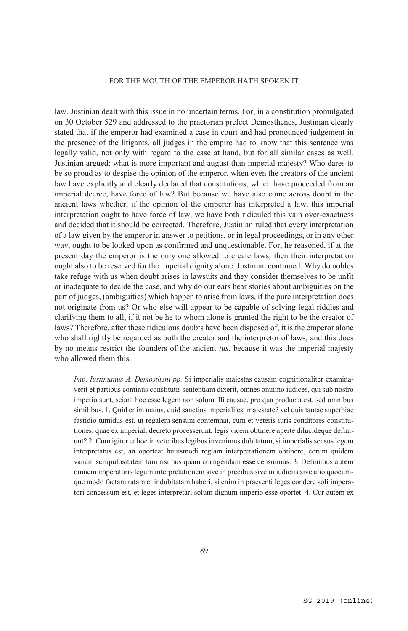law. Justinian dealt with this issue in no uncertain terms. For, in a constitution promulgated on 30 October 529 and addressed to the praetorian prefect Demosthenes, Justinian clearly stated that if the emperor had examined a case in court and had pronounced judgement in the presence of the litigants, all judges in the empire had to know that this sentence was legally valid, not only with regard to the case at hand, but for all similar cases as well. Justinian argued: what is more important and august than imperial majesty? Who dares to be so proud as to despise the opinion of the emperor, when even the creators of the ancient law have explicitly and clearly declared that constitutions, which have proceeded from an imperial decree, have force of law? But because we have also come across doubt in the ancient laws whether, if the opinion of the emperor has interpreted a law, this imperial interpretation ought to have force of law, we have both ridiculed this vain over-exactness and decided that it should be corrected. Therefore, Justinian ruled that every interpretation of a law given by the emperor in answer to petitions, or in legal proceedings, or in any other way, ought to be looked upon as confirmed and unquestionable. For, he reasoned, if at the present day the emperor is the only one allowed to create laws, then their interpretation ought also to be reserved for the imperial dignity alone. Justinian continued: Why do nobles take refuge with us when doubt arises in lawsuits and they consider themselves to be unfit or inadequate to decide the case, and why do our ears hear stories about ambiguities on the part of judges, (ambiguities) which happen to arise from laws, if the pure interpretation does not originate from us? Or who else will appear to be capable of solving legal riddles and clarifying them to all, if it not be he to whom alone is granted the right to be the creator of laws? Therefore, after these ridiculous doubts have been disposed of, it is the emperor alone who shall rightly be regarded as both the creator and the interpretor of laws; and this does by no means restrict the founders of the ancient *ius*, because it was the imperial majesty who allowed them this.

*Imp. Iustinianus A. Demostheni pp.* Si imperialis maiestas causam cognitionaliter examinaverit et partibus cominus constitutis sententiam dixerit, omnes omnino iudices, qui sub nostro imperio sunt, sciant hoc esse legem non solum illi causae, pro qua producta est, sed omnibus similibus. 1. Quid enim maius, quid sanctius imperiali est maiestate? vel quis tantae superbiae fastidio tumidus est, ut regalem sensum contemnat, cum et veteris iuris conditores constitutiones, quae ex imperiali decreto processerunt, legis vicem obtinere aperte dilucideque definiunt? 2. Cum igitur et hoc in veteribus legibus invenimus dubitatum, si imperialis sensus legem interpretatus est, an oporteat huiusmodi regiam interpretationem obtinere, eorum quidem vanam scrupulositatem tam risimus quam corrigendam esse censuimus. 3. Definimus autem omnem imperatoris legum interpretationem sive in precibus sive in iudiciis sive alio quocumque modo factam ratam et indubitatam haberi. si enim in praesenti leges condere soli imperatori concessum est, et leges interpretari solum dignum imperio esse oportet. 4. Cur autem ex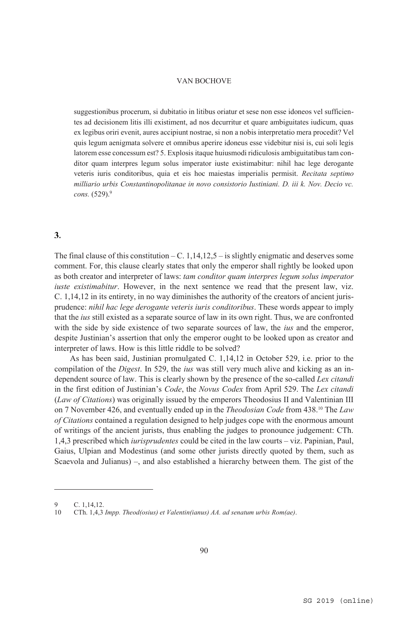suggestionibus procerum, si dubitatio in litibus oriatur et sese non esse idoneos vel sufficientes ad decisionem litis illi existiment, ad nos decurritur et quare ambiguitates iudicum, quas ex legibus oriri evenit, aures accipiunt nostrae, si non a nobis interpretatio mera procedit? Vel quis legum aenigmata solvere et omnibus aperire idoneus esse videbitur nisi is, cui soli legis latorem esse concessum est? 5. Explosis itaque huiusmodi ridiculosis ambiguitatibus tam conditor quam interpres legum solus imperator iuste existimabitur: nihil hac lege derogante veteris iuris conditoribus, quia et eis hoc maiestas imperialis permisit. *Recitata septimo milliario urbis Constantinopolitanae in novo consistorio Iustiniani. D. iii k. Nov. Decio vc. cons.* (529).9

# $3.$

The final clause of this constitution – C.  $1,14,12,5$  – is slightly enigmatic and deserves some comment. For, this clause clearly states that only the emperor shall rightly be looked upon as both creator and interpreter of laws: *tam conditor quam interpres legum solus imperator iuste existimabitur*. However, in the next sentence we read that the present law, viz. C. 1,14,12 in its entirety, in no way diminishes the authority of the creators of ancient jurisprudence: *nihil hac lege derogante veteris iuris conditoribus*. These words appear to imply that the *ius* still existed as a separate source of law in its own right. Thus, we are confronted with the side by side existence of two separate sources of law, the *ius* and the emperor, despite Justinian's assertion that only the emperor ought to be looked upon as creator and interpreter of laws. How is this little riddle to be solved?

 As has been said, Justinian promulgated C. 1,14,12 in October 529, i.e. prior to the compilation of the *Digest*. In 529, the *ius* was still very much alive and kicking as an independent source of law. This is clearly shown by the presence of the so-called *Lex citandi* in the first edition of Justinian's *Code*, the *Novus Codex* from April 529. The *Lex citandi* (*Law of Citations*) was originally issued by the emperors Theodosius II and Valentinian III on 7 November 426, and eventually ended up in the *Theodosian Code* from 438.10 The *Law of Citations* contained a regulation designed to help judges cope with the enormous amount of writings of the ancient jurists, thus enabling the judges to pronounce judgement: CTh. 1,4,3 prescribed which *iurisprudentes* could be cited in the law courts – viz. Papinian, Paul, Gaius, Ulpian and Modestinus (and some other jurists directly quoted by them, such as Scaevola and Julianus) –, and also established a hierarchy between them. The gist of the

<sup>9</sup> C. 1, 14, 12<br>10 CTh. 1.4.3

<sup>10</sup> CTh. 1,4,3 *Impp. Theod(osius) et Valentin(ianus) AA. ad senatum urbis Rom(ae)*.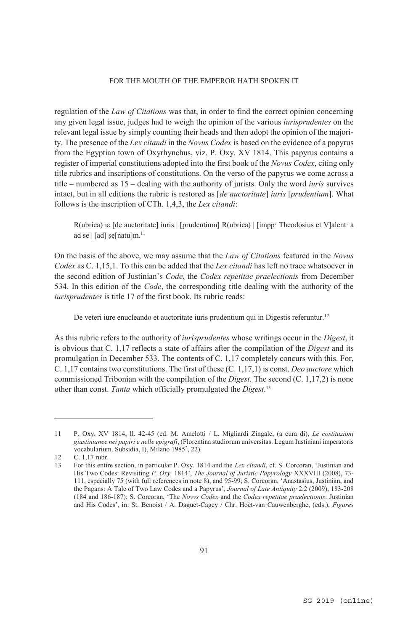regulation of the *Law of Citations* was that, in order to find the correct opinion concerning any given legal issue, judges had to weigh the opinion of the various *iurisprudentes* on the relevant legal issue by simply counting their heads and then adopt the opinion of the majority. The presence of the *Lex citandi* in the *Novus Codex* is based on the evidence of a papyrus from the Egyptian town of Oxyrhynchus, viz. P. Oxy. XV 1814. This papyrus contains a register of imperial constitutions adopted into the first book of the *Novus Codex*, citing only title rubrics and inscriptions of constitutions. On the verso of the papyrus we come across a title – numbered as 15 – dealing with the authority of jurists. Only the word *iuris* survives intact, but in all editions the rubric is restored as [*de auctoritate*] *iuris* [*prudentium*]. What follows is the inscription of CTh. 1,4,3, the *Lex citandi*:

R(ubrica) ιε [de auctoritate] iuris | [prudentium] R(ubrica) | [impp· Theodosius et V]alent· a ad se  $|$  [ad] se[natu]m.<sup>11</sup>

On the basis of the above, we may assume that the *Law of Citations* featured in the *Novus Codex* as C. 1,15,1. To this can be added that the *Lex citandi* has left no trace whatsoever in the second edition of Justinian's *Code*, the *Codex repetitae praelectionis* from December 534. In this edition of the *Code*, the corresponding title dealing with the authority of the *iurisprudentes* is title 17 of the first book. Its rubric reads:

De veteri iure enucleando et auctoritate iuris prudentium qui in Digestis referuntur.<sup>12</sup>

As this rubric refers to the authority of *iurisprudentes* whose writings occur in the *Digest*, it is obvious that C. 1,17 reflects a state of affairs after the compilation of the *Digest* and its promulgation in December 533. The contents of C. 1,17 completely concurs with this. For, C. 1,17 contains two constitutions. The first of these (C. 1,17,1) is const. *Deo auctore* which commissioned Tribonian with the compilation of the *Digest*. The second (C. 1,17,2) is none other than const. *Tanta* which officially promulgated the *Digest*. 13

<sup>11</sup> P. Oxy. XV 1814, ll. 42-45 (ed. M. Amelotti / L. Migliardi Zingale, (a cura di), *Le costituzioni giustinianee nei papiri e nelle epigrafi*, (Florentina studiorum universitas. Legum Iustiniani imperatoris vocabularium. Subsidia, I), Milano 1985<sup>2</sup>, 22).

<sup>12</sup> C. 1,17 rubr.

<sup>13</sup> For this entire section, in particular P. Oxy. 1814 and the *Lex citandi*, cf. S. Corcoran, 'Justinian and His Two Codes: Revisiting *P. Oxy.* 1814', *The Journal of Juristic Papyrology* XXXVIII (2008), 73- 111, especially 75 (with full references in note 8), and 95-99; S. Corcoran, 'Anastasius, Justinian, and the Pagans: A Tale of Two Law Codes and a Papyrus', *Journal of Late Antiquity* 2.2 (2009), 183-208 (184 and 186-187); S. Corcoran, 'The *Novvs Codex* and the *Codex repetitae praelectionis*: Justinian and His Codes', in: St. Benoist / A. Daguet-Cagey / Chr. Hoët-van Cauwenberghe, (eds.), *Figures*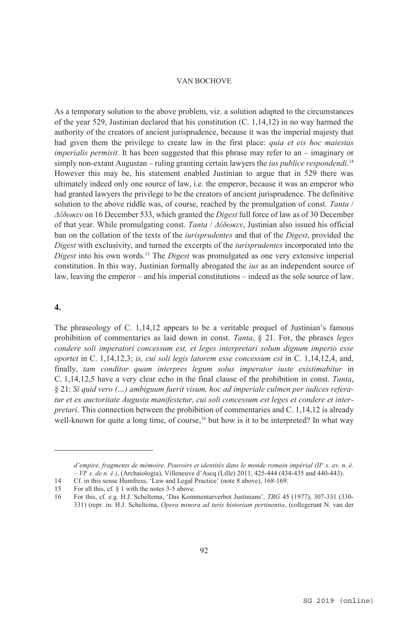As a temporary solution to the above problem, viz. a solution adapted to the circumstances of the year 529, Justinian declared that his constitution  $(C, 1,14,12)$  in no way harmed the authority of the creators of ancient jurisprudence, because it was the imperial majesty that had given them the privilege to create law in the first place: *quia et eis hoc maiestas imperialis permisit*. It has been suggested that this phrase may refer to an – imaginary or simply non-extant Augustan – ruling granting certain lawyers the *ius publice respondendi*.<sup>14</sup> However this may be, his statement enabled Justinian to argue that in 529 there was ultimately indeed only one source of law, i.e. the emperor, because it was an emperor who had granted lawyers the privilege to be the creators of ancient jurisprudence. The definitive solution to the above riddle was, of course, reached by the promulgation of const. *Tanta* / *Δέδωκεν* on 16 December 533, which granted the *Digest* full force of law as of 30 December of that year. While promulgating const. *Tanta* / *Δέδωκεν*, Justinian also issued his official ban on the collation of the texts of the *iurisprudentes* and that of the *Digest*, provided the *Digest* with exclusivity, and turned the excerpts of the *iurisprudentes* incorporated into the *Digest* into his own words.15 The *Digest* was promulgated as one very extensive imperial constitution. In this way, Justinian formally abrogated the *ius* as an independent source of law, leaving the emperor – and his imperial constitutions – indeed as the sole source of law.

#### $\overline{4}$ .

 $\overline{a}$ 

The phraseology of C. 1,14,12 appears to be a veritable prequel of Justinian's famous prohibition of commentaries as laid down in const. *Tanta*, § 21. For, the phrases *leges condere soli imperatori concessum est, et leges interpretari solum dignum imperio esse oportet* in C. 1,14,12,3; *is, cui soli legis latorem esse concessum est* in C. 1,14,12,4, and, finally, *tam conditor quam interpres legum solus imperator iuste existimabitur* in C. 1,14,12,5 have a very clear echo in the final clause of the prohibition in const. *Tanta*, § 21: *Si quid vero (…) ambiguum fuerit visum, hoc ad imperiale culmen per iudices referatur et ex auctoritate Augusta manifestetur, cui soli concessum est leges et condere et interpretari*. This connection between the prohibition of commentaries and C. 1,14,12 is already well-known for quite a long time, of course,<sup>16</sup> but how is it to be interpreted? In what way

*d'empire, fragments de mémoire. Pouvoirs et identités dans le monde romain impérial (IIe s. av. n. è. – VIe s. de n. è.)*, (Archaiologia), Villeneuve d'Ascq (Lille) 2011, 425-444 (434-435 and 440-443).

<sup>14</sup> Cf. in this sense Humfress, 'Law and Legal Practice' (note 8 above), 168-169.<br>15 For all this cf 8 1 with the notes 3-5 above

<sup>15</sup> For all this, cf. § 1 with the notes 3-5 above.<br>16 For this, cf. e.g. H.J. Scheltema, 'Das Komi

<sup>16</sup> For this, cf. e.g. H.J. Scheltema, 'Das Kommentarverbot Justinians', *TRG* 45 (1977), 307-331 (330- 331) (repr. in: H.J. Scheltema, *Opera minora ad iuris historiam pertinentia*, (collegerunt N. van der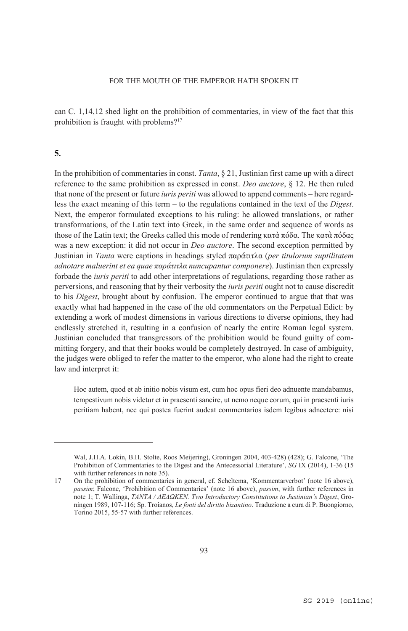can C. 1,14,12 shed light on the prohibition of commentaries, in view of the fact that this prohibition is fraught with problems?17

# $5.$

 $\overline{a}$ 

In the prohibition of commentaries in const. *Tanta*, § 21, Justinian first came up with a direct reference to the same prohibition as expressed in const. *Deo auctore*, § 12. He then ruled that none of the present or future *iuris periti* was allowed to append comments – here regardless the exact meaning of this term – to the regulations contained in the text of the *Digest*. Next, the emperor formulated exceptions to his ruling: he allowed translations, or rather transformations, of the Latin text into Greek, in the same order and sequence of words as those of the Latin text; the Greeks called this mode of rendering κατὰ πόδα. The κατὰ πόδας was a new exception: it did not occur in *Deo auctore*. The second exception permitted by Justinian in *Tanta* were captions in headings styled παράτιτλα (*per titulorum suptilitatem adnotare maluerint et ea quae παράτιτλα nuncupantur componere*). Justinian then expressly forbade the *iuris periti* to add other interpretations of regulations, regarding those rather as perversions, and reasoning that by their verbosity the *iuris periti* ought not to cause discredit to his *Digest*, brought about by confusion. The emperor continued to argue that that was exactly what had happened in the case of the old commentators on the Perpetual Edict: by extending a work of modest dimensions in various directions to diverse opinions, they had endlessly stretched it, resulting in a confusion of nearly the entire Roman legal system. Justinian concluded that transgressors of the prohibition would be found guilty of committing forgery, and that their books would be completely destroyed. In case of ambiguity, the judges were obliged to refer the matter to the emperor, who alone had the right to create law and interpret it:

Hoc autem, quod et ab initio nobis visum est, cum hoc opus fieri deo adnuente mandabamus, tempestivum nobis videtur et in praesenti sancire, ut nemo neque eorum, qui in praesenti iuris peritiam habent, nec qui postea fuerint audeat commentarios isdem legibus adnectere: nisi

Wal, J.H.A. Lokin, B.H. Stolte, Roos Meijering), Groningen 2004, 403-428) (428); G. Falcone, 'The Prohibition of Commentaries to the Digest and the Antecessorial Literature', *SG* IX (2014), 1-36 (15 with further references in note 35).

<sup>17</sup> On the prohibition of commentaries in general, cf. Scheltema, 'Kommentarverbot' (note 16 above), *passim*; Falcone, 'Prohibition of Commentaries' (note 16 above), *passim*, with further references in note 1; T. Wallinga, *TANTA / ΔΕΔΩΚΕΝ. Two Introductory Constitutions to Justinian's Digest*, Groningen 1989, 107-116; Sp. Troianos, *Le fonti del diritto bizantino*. Traduzione a cura di P. Buongiorno, Torino 2015, 55-57 with further references.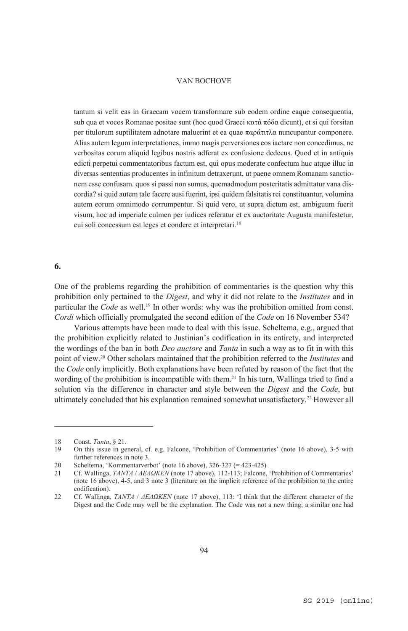tantum si velit eas in Graecam vocem transformare sub eodem ordine eaque consequentia, sub qua et voces Romanae positae sunt (hoc quod Graeci κατὰ πόδα dicunt), et si qui forsitan per titulorum suptilitatem adnotare maluerint et ea quae παράτιτλα nuncupantur componere. Alias autem legum interpretationes, immo magis perversiones eos iactare non concedimus, ne verbositas eorum aliquid legibus nostris adferat ex confusione dedecus. Quod et in antiquis edicti perpetui commentatoribus factum est, qui opus moderate confectum huc atque illuc in diversas sententias producentes in infinitum detraxerunt, ut paene omnem Romanam sanctionem esse confusam. quos si passi non sumus, quemadmodum posteritatis admittatur vana discordia? si quid autem tale facere ausi fuerint, ipsi quidem falsitatis rei constituantur, volumina autem eorum omnimodo corrumpentur. Si quid vero, ut supra dictum est, ambiguum fuerit visum, hoc ad imperiale culmen per iudices referatur et ex auctoritate Augusta manifestetur, cui soli concessum est leges et condere et interpretari.18

## 6.

 $\overline{a}$ 

One of the problems regarding the prohibition of commentaries is the question why this prohibition only pertained to the *Digest*, and why it did not relate to the *Institutes* and in particular the *Code* as well.<sup>19</sup> In other words: why was the prohibition omitted from const. *Cordi* which officially promulgated the second edition of the *Code* on 16 November 534?

Various attempts have been made to deal with this issue. Scheltema, e.g., argued that the prohibition explicitly related to Justinian's codification in its entirety, and interpreted the wordings of the ban in both *Deo auctore* and *Tanta* in such a way as to fit in with this point of view.20 Other scholars maintained that the prohibition referred to the *Institutes* and the *Code* only implicitly. Both explanations have been refuted by reason of the fact that the wording of the prohibition is incompatible with them.<sup>21</sup> In his turn, Wallinga tried to find a solution via the difference in character and style between the *Digest* and the *Code*, but ultimately concluded that his explanation remained somewhat unsatisfactory.22 However all

<sup>18</sup> Const. *Tanta*, § 21.

<sup>19</sup> On this issue in general, cf. e.g. Falcone, 'Prohibition of Commentaries' (note 16 above), 3-5 with further references in note 3.

<sup>20</sup> Scheltema, 'Kommentarverbot' (note 16 above), 326-327 (= 423-425)

<sup>21</sup> Cf. Wallinga, *TΑΝΤΑ* / *ΔΕΔΩΚΕΝ* (note 17 above), 112-113; Falcone, 'Prohibition of Commentaries' (note 16 above), 4-5, and 3 note 3 (literature on the implicit reference of the prohibition to the entire codification).

<sup>22</sup> Cf. Wallinga, *TΑΝΤΑ* / *ΔΕΔΩΚΕΝ* (note 17 above), 113: 'I think that the different character of the Digest and the Code may well be the explanation. The Code was not a new thing; a similar one had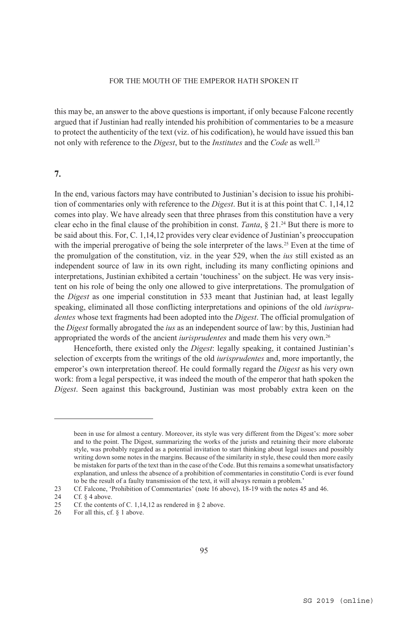this may be, an answer to the above questions is important, if only because Falcone recently argued that if Justinian had really intended his prohibition of commentaries to be a measure to protect the authenticity of the text (viz. of his codification), he would have issued this ban not only with reference to the *Digest*, but to the *Institutes* and the *Code* as well.23

# 7.

In the end, various factors may have contributed to Justinian's decision to issue his prohibition of commentaries only with reference to the *Digest*. But it is at this point that C. 1,14,12 comes into play. We have already seen that three phrases from this constitution have a very clear echo in the final clause of the prohibition in const. *Tanta*, § 21.24 But there is more to be said about this. For, C. 1,14,12 provides very clear evidence of Justinian's preoccupation with the imperial prerogative of being the sole interpreter of the laws.<sup>25</sup> Even at the time of the promulgation of the constitution, viz. in the year 529, when the *ius* still existed as an independent source of law in its own right, including its many conflicting opinions and interpretations, Justinian exhibited a certain 'touchiness' on the subject. He was very insistent on his role of being the only one allowed to give interpretations. The promulgation of the *Digest* as one imperial constitution in 533 meant that Justinian had, at least legally speaking, eliminated all those conflicting interpretations and opinions of the old *iurisprudentes* whose text fragments had been adopted into the *Digest*. The official promulgation of the *Digest* formally abrogated the *ius* as an independent source of law: by this, Justinian had appropriated the words of the ancient *iurisprudentes* and made them his very own.26

Henceforth, there existed only the *Digest*: legally speaking, it contained Justinian's selection of excerpts from the writings of the old *iurisprudentes* and, more importantly, the emperor's own interpretation thereof. He could formally regard the *Digest* as his very own work: from a legal perspective, it was indeed the mouth of the emperor that hath spoken the *Digest*. Seen against this background, Justinian was most probably extra keen on the

been in use for almost a century. Moreover, its style was very different from the Digest's: more sober and to the point. The Digest, summarizing the works of the jurists and retaining their more elaborate style, was probably regarded as a potential invitation to start thinking about legal issues and possibly writing down some notes in the margins. Because of the similarity in style, these could then more easily be mistaken for parts of the text than in the case of the Code. But this remains a somewhat unsatisfactory explanation, and unless the absence of a prohibition of commentaries in constitutio Cordi is ever found to be the result of a faulty transmission of the text, it will always remain a problem.'

<sup>23</sup> Cf. Falcone, 'Prohibition of Commentaries' (note 16 above), 18-19 with the notes 45 and 46.<br>24 Cf. § 4 above.

<sup>24</sup> Cf. § 4 above.<br>25 Cf. the content

<sup>25</sup> Cf. the contents of C. 1, 14, 12 as rendered in  $\S$  2 above.<br>26 For all this. cf.  $\S$  1 above.

For all this, cf. § 1 above.